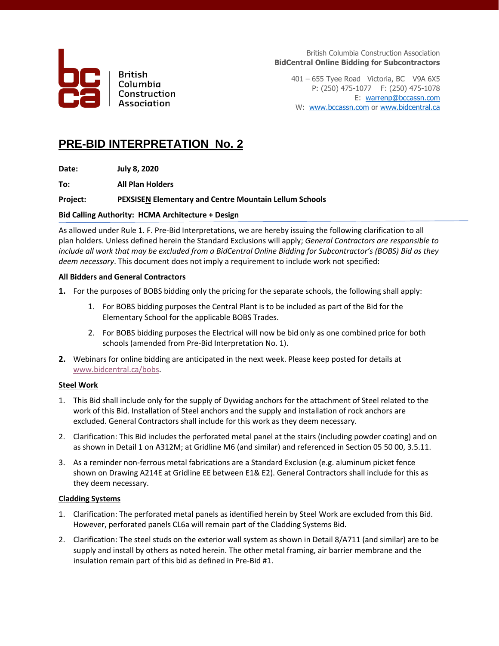

**British** Columbia Construction Association

British Columbia Construction Association **BidCentral Online Bidding for Subcontractors**

401 – 655 Tyee Road Victoria, BC V9A 6X5 P: (250) 475-1077 F: (250) 475-1078 E: [warrenp@bccassn.com](mailto:warrenp@bccassn.com) W: [www.bccassn.com](http://www.bccassn.com/) o[r www.bidcentral.ca](http://www.bidcentral.ca/)

## **PRE-BID INTERPRETATION No. 2**

**Date: July 8, 2020**

**To: All Plan Holders**

## **Project: PEXSISEN Elementary and Centre Mountain Lellum Schools**

## **Bid Calling Authority: HCMA Architecture + Design**

As allowed under Rule 1. F. Pre-Bid Interpretations, we are hereby issuing the following clarification to all plan holders. Unless defined herein the Standard Exclusions will apply; *General Contractors are responsible to include all work that may be excluded from a BidCentral Online Bidding for Subcontractor's (BOBS) Bid as they deem necessary*. This document does not imply a requirement to include work not specified:

## **All Bidders and General Contractors**

- **1.** For the purposes of BOBS bidding only the pricing for the separate schools, the following shall apply:
	- 1. For BOBS bidding purposes the Central Plant is to be included as part of the Bid for the Elementary School for the applicable BOBS Trades.
	- 2. For BOBS bidding purposes the Electrical will now be bid only as one combined price for both schools (amended from Pre-Bid Interpretation No. 1).
- **2.** Webinars for online bidding are anticipated in the next week. Please keep posted for details at [www.bidcentral.ca/bobs.](http://www.bidcentral.ca/bobs)

## **Steel Work**

- 1. This Bid shall include only for the supply of Dywidag anchors for the attachment of Steel related to the work of this Bid. Installation of Steel anchors and the supply and installation of rock anchors are excluded. General Contractors shall include for this work as they deem necessary.
- 2. Clarification: This Bid includes the perforated metal panel at the stairs (including powder coating) and on as shown in Detail 1 on A312M; at Gridline M6 (and similar) and referenced in Section 05 50 00, 3.5.11.
- 3. As a reminder non-ferrous metal fabrications are a Standard Exclusion (e.g. aluminum picket fence shown on Drawing A214E at Gridline EE between E1& E2). General Contractors shall include for this as they deem necessary.

### **Cladding Systems**

- 1. Clarification: The perforated metal panels as identified herein by Steel Work are excluded from this Bid. However, perforated panels CL6a will remain part of the Cladding Systems Bid.
- 2. Clarification: The steel studs on the exterior wall system as shown in Detail 8/A711 (and similar) are to be supply and install by others as noted herein. The other metal framing, air barrier membrane and the insulation remain part of this bid as defined in Pre-Bid #1.